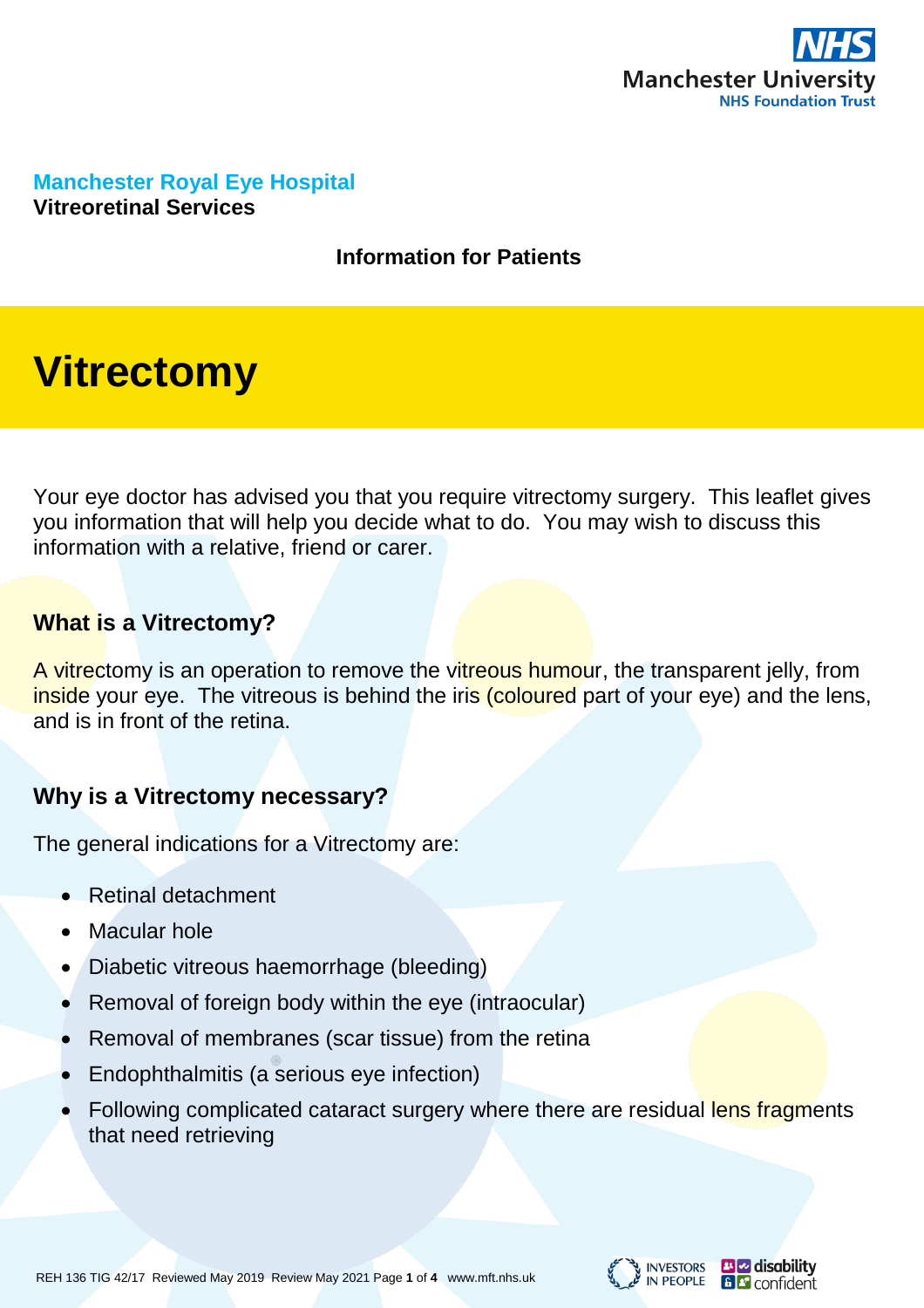

**Manchester Royal Eye Hospital Vitreoretinal Services**

#### **Information for Patients**

# **Vitrectomy**

Your eye doctor has advised you that you require vitrectomy surgery. This leaflet gives you information that will help you decide what to do. You may wish to discuss this information with a relative, friend or carer.

#### **What is a Vitrectomy?**

A vitrectomy is an operation to remove the vitreous humour, the transparent jelly, from inside your eye. The vitreous is behind the iris (coloured part of your eye) and the lens, and is in front of the retina.

# **Why is a Vitrectomy necessary?**

The general indications for a Vitrectomy are:

- Retinal detachment
- Macular hole
- Diabetic vitreous haemorrhage (bleeding)
- Removal of foreign body within the eye (intraocular)
- Removal of membranes (scar tissue) from the retina
- Endophthalmitis (a serious eye infection)
- Following complicated cataract surgery where there are residual lens fragments that need retrieving





**B** disability **B C** confident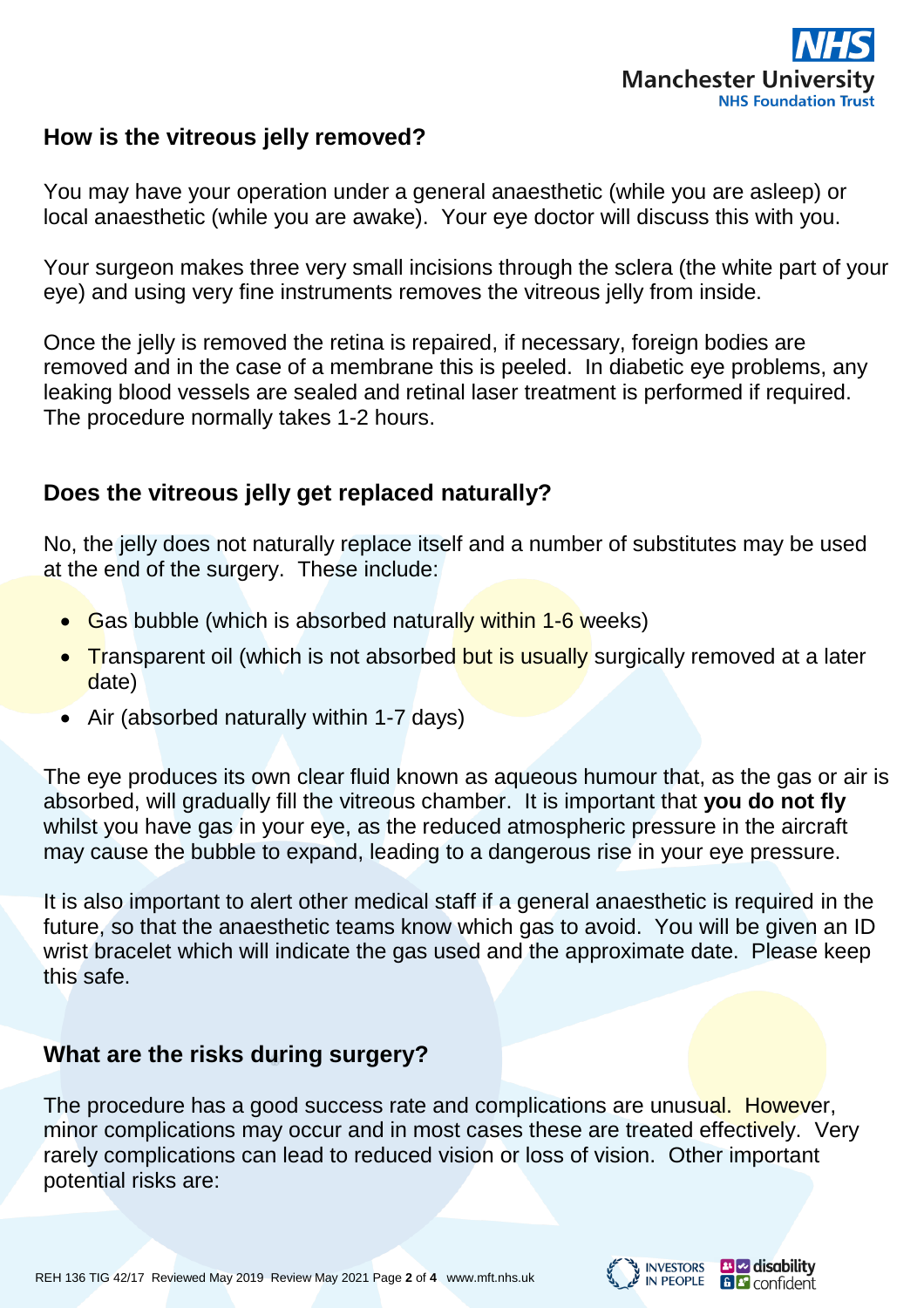

# **How is the vitreous jelly removed?**

You may have your operation under a general anaesthetic (while you are asleep) or local anaesthetic (while you are awake). Your eye doctor will discuss this with you.

Your surgeon makes three very small incisions through the sclera (the white part of your eye) and using very fine instruments removes the vitreous jelly from inside.

Once the jelly is removed the retina is repaired, if necessary, foreign bodies are removed and in the case of a membrane this is peeled. In diabetic eye problems, any leaking blood vessels are sealed and retinal laser treatment is performed if required. The procedure normally takes 1-2 hours.

# **Does the vitreous jelly get replaced naturally?**

No, the jelly does not naturally replace itself and a number of substitutes may be used at the end of the surgery. These include:

- Gas bubble (which is absorbed naturally within 1-6 weeks)
- Transparent oil (which is not absorbed but is usually surgically removed at a later date)
- Air (absorbed naturally within 1-7 days)

The eye produces its own clear fluid known as aqueous humour that, as the gas or air is absorbed, will gradually fill the vitreous chamber. It is important that **you do not fly** whilst you have gas in your eye, as the reduced atmospheric pressure in the aircraft may cause the bubble to expand, leading to a dangerous rise in your eye pressure.

It is also important to alert other medical staff if a general anaesthetic is required in the future, so that the anaesthetic teams know which gas to avoid. You will be given an ID wrist bracelet which will indicate the gas used and the approximate date. Please keep this safe.

# **What are the risks during surgery?**

The procedure has a good success rate and complications are unusual. However, minor complications may occur and in most cases these are treated effectively. Very rarely complications can lead to reduced vision or loss of vision. Other important potential risks are:

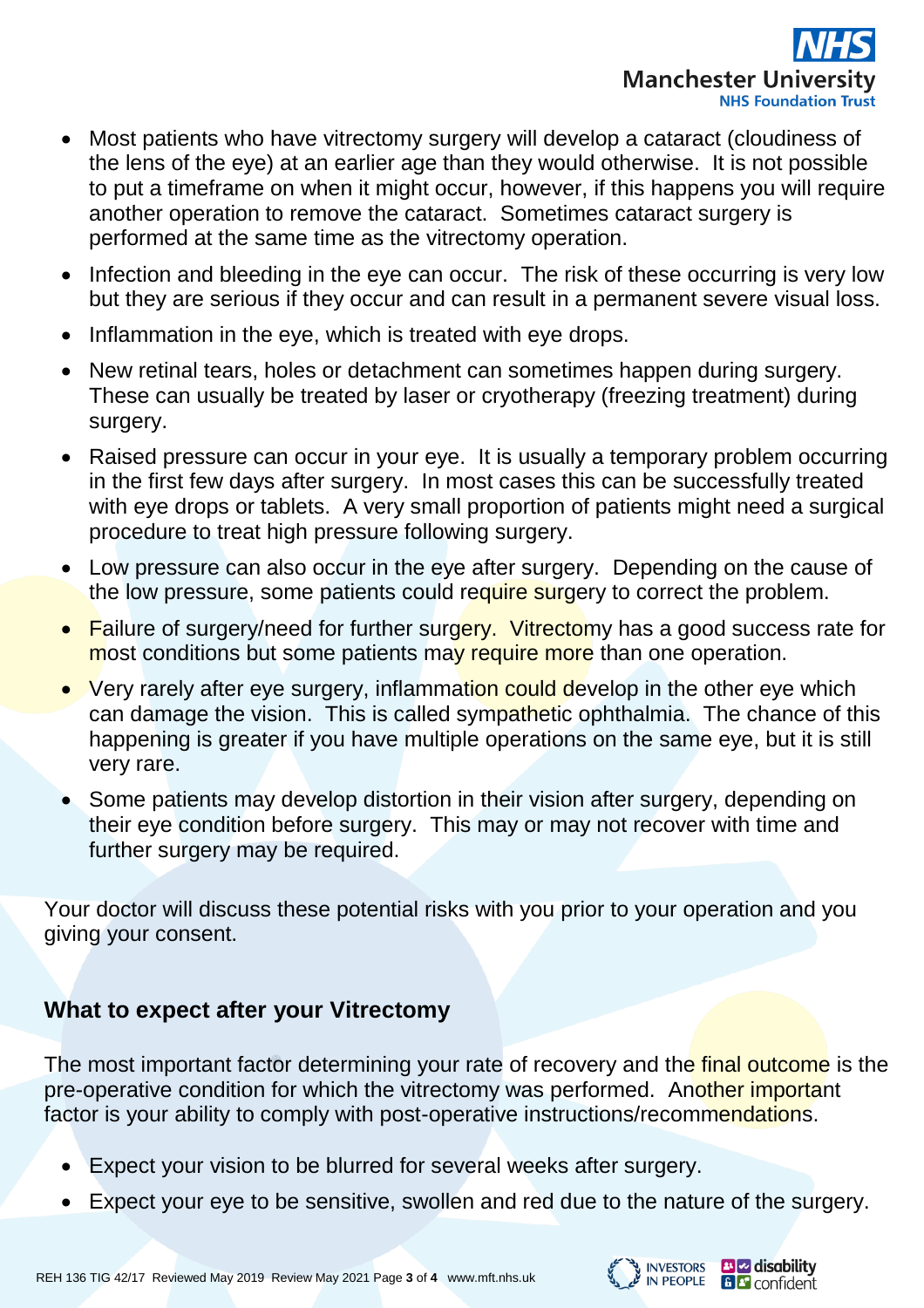

- Most patients who have vitrectomy surgery will develop a cataract (cloudiness of the lens of the eye) at an earlier age than they would otherwise. It is not possible to put a timeframe on when it might occur, however, if this happens you will require another operation to remove the cataract. Sometimes cataract surgery is performed at the same time as the vitrectomy operation.
- Infection and bleeding in the eye can occur. The risk of these occurring is very low but they are serious if they occur and can result in a permanent severe visual loss.
- Inflammation in the eye, which is treated with eye drops.
- New retinal tears, holes or detachment can sometimes happen during surgery. These can usually be treated by laser or cryotherapy (freezing treatment) during surgery.
- Raised pressure can occur in your eye. It is usually a temporary problem occurring in the first few days after surgery. In most cases this can be successfully treated with eye drops or tablets. A very small proportion of patients might need a surgical procedure to treat high pressure following surgery.
- Low pressure can also occur in the eye after surgery. Depending on the cause of the low pressure, some patients could require surgery to correct the problem.
- Failure of surgery/need for further surgery. Vitrectomy has a good success rate for most conditions but some patients may require more than one operation.
- Very rarely after eye surgery, inflammation could develop in the other eye which can damage the vision. This is called sympathetic ophthalmia. The chance of this happening is greater if you have multiple operations on the same eye, but it is still very rare.
- Some patients may develop distortion in their vision after surgery, depending on their eye condition before surgery. This may or may not recover with time and further surgery may be required.

Your doctor will discuss these potential risks with you prior to your operation and you giving your consent.

# **What to expect after your Vitrectomy**

The most important factor determining your rate of recovery and the final outcome is the pre-operative condition for which the vitrectomy was performed. Another important factor is your ability to comply with post-operative instructions/recommendations.

- Expect your vision to be blurred for several weeks after surgery.
- Expect your eye to be sensitive, swollen and red due to the nature of the surgery.